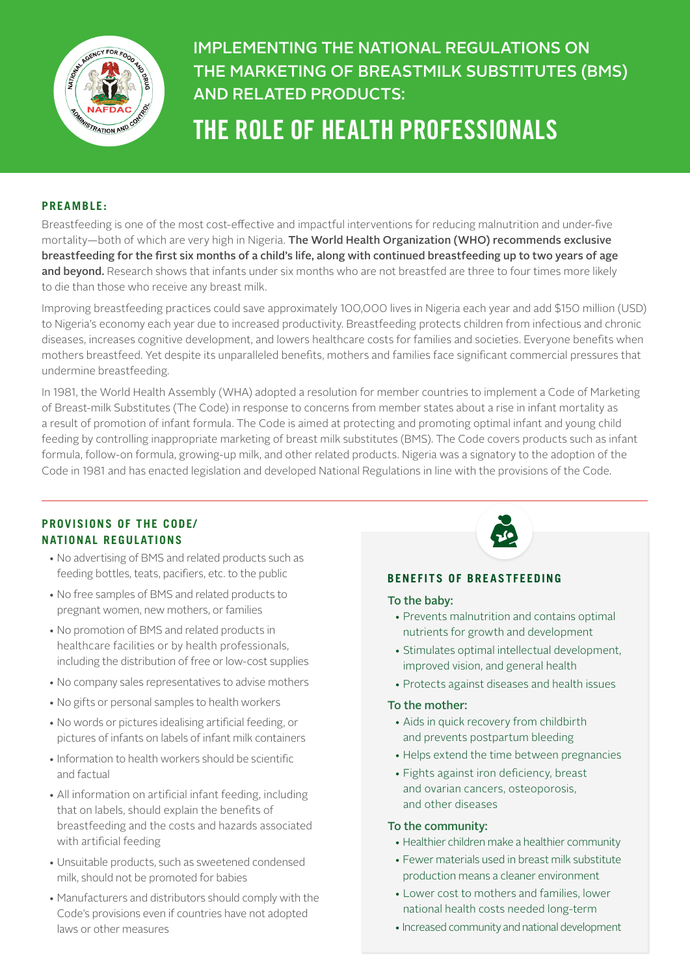

## IMPLEMENTING THE NATIONAL REGULATIONS ON THE MARKETING OF BREASTMILK SUBSTITUTES (BMS) AND RELATED PRODUCTS:

# THE ROLE OF HEALTH PROFESSIONALS

## **PREAMBLE:**

Breastfeeding is one of the most cost-effective and impactful interventions for reducing malnutrition and under-five mortality—both of which are very high in Nigeria. The World Health Organization (WHO) recommends exclusive breastfeeding for the first six months of a child's life, along with continued breastfeeding up to two years of age and beyond. Research shows that infants under six months who are not breastfed are three to four times more likely to die than those who receive any breast milk.

Improving breastfeeding practices could save approximately 100,000 lives in Nigeria each year and add \$150 million (USD) to Nigeria's economy each year due to increased productivity. Breastfeeding protects children from infectious and chronic diseases, increases cognitive development, and lowers healthcare costs for families and societies. Everyone benefits when mothers breastfeed. Yet despite its unparalleled benefits, mothers and families face significant commercial pressures that undermine breastfeeding.

In 1981, the World Health Assembly (WHA) adopted a resolution for member countries to implement a Code of Marketing of Breast-milk Substitutes (The Code) in response to concerns from member states about a rise in infant mortality as a result of promotion of infant formula. The Code is aimed at protecting and promoting optimal infant and young child feeding by controlling inappropriate marketing of breast milk substitutes (BMS). The Code covers products such as infant formula, follow-on formula, growing-up milk, and other related products. Nigeria was a signatory to the adoption of the Code in 1981 and has enacted legislation and developed National Regulations in line with the provisions of the Code.

## **PROVISIONS OF THE CODE/ NATIONAL REGULATIONS**

- No advertising of BMS and related products such as feeding bottles, teats, pacifiers, etc. to the public
- No free samples of BMS and related products to pregnant women, new mothers, or families
- No promotion of BMS and related products in healthcare facilities or by health professionals, including the distribution of free or low-cost supplies
- No company sales representatives to advise mothers
- No gifts or personal samples to health workers
- No words or pictures idealising artificial feeding, or pictures of infants on labels of infant milk containers
- Information to health workers should be scientific and factual
- All information on artificial infant feeding, including that on labels, should explain the benefits of breastfeeding and the costs and hazards associated with artificial feeding
- Unsuitable products, such as sweetened condensed milk, should not be promoted for babies
- Manufacturers and distributors should comply with the Code's provisions even if countries have not adopted laws or other measures



#### **BENEFITS OF BREASTFEEDING**

#### To the baby:

- Prevents malnutrition and contains optimal nutrients for growth and development
- Stimulates optimal intellectual development, improved vision, and general health
- Protects against diseases and health issues

#### To the mother:

- Aids in quick recovery from childbirth and prevents postpartum bleeding
- Helps extend the time between pregnancies
- Fights against iron deficiency, breast and ovarian cancers, osteoporosis, and other diseases

#### To the community:

- Healthier children make a healthier community
- Fewer materials used in breast milk substitute production means a cleaner environment
- Lower cost to mothers and families, lower national health costs needed long-term
- Increased community and national development